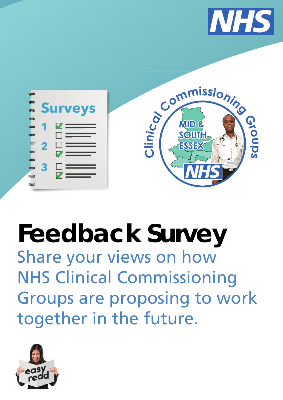



# **Feedback Survey** Share your views on how NHS Clinical Commissioning Groups are proposing to work together in the future.

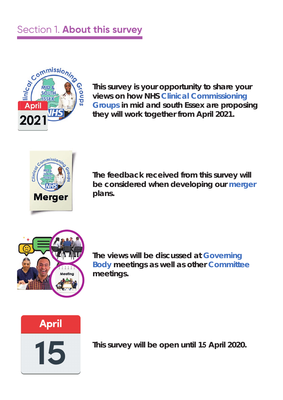## Section 1. **About this survey**



**This survey is your opportunity to share your views on how NHS Clinical Commissioning Groups in mid and south Essex are proposing they will work together from April 2021.**



**The feedback received from this survey will be considered when developing our merger plans.**



**The views will be discussed at Governing Body meetings as well as other Committee meetings.** 



15

**This survey will be open until 15 April 2020.**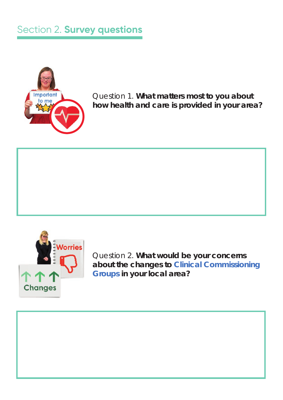

Question 1. **What matters most to you about how health and care is provided in your area?** 



Question 2. **What would be your concerns about the changes to Clinical Commissioning Groups in your local area?**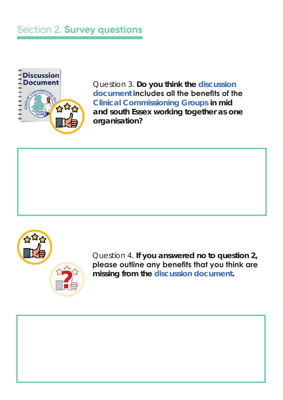

Question 3. **Do you think the discussion**  document **includes all the benefits of the Clinical Commissioning Groups in mid and south Essex working together as one organisation?**



Question 4. **If you answered no to question 2,**  please outline any benefits that you think are **missing from the discussion document. ?**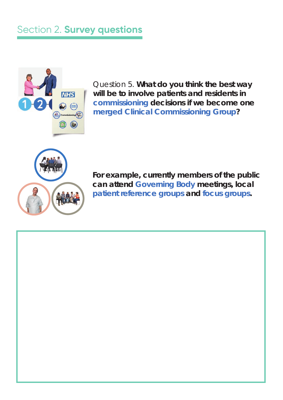

Question 5. **What do you think the best way will be to involve patients and residents in commissioning decisions if we become one merged Clinical Commissioning Group?** 



**For example, currently members of the public can attend Governing Body meetings, local patient reference groups and focus groups.**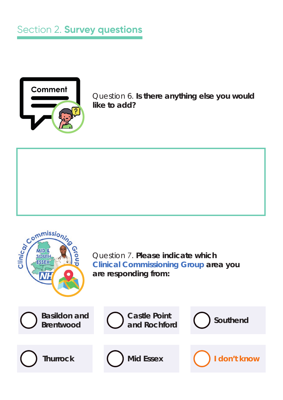

Question 6. **Is there anything else you would like to add?** 

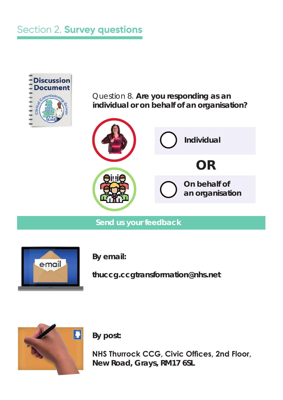

Question 8. **Are you responding as an individual or on behalf of an organisation?**



**Send us your feedback** 



**By email:**

**thuccg.ccgtransformation@nhs.net**



**By post:** 

**NHS Thurrock CCG, Civic Offices, 2nd Floor, New Road, Grays, RM17 6SL**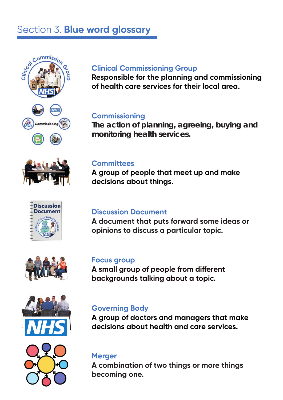## Section 3. **Blue word glossary**













## **Clinical Commissioning Group**

**Responsible for the planning and commissioning of health care services for their local area.**

## **Commissioning**

**The action of planning, agreeing, buying and monitoring health services.**

#### **Committees**

**A group of people that meet up and make decisions about things.**

#### **Discussion Document**

**A document that puts forward some ideas or opinions to discuss a particular topic.**

#### **Focus group**

A small group of people from different **backgrounds talking about a topic.**

### **Governing Body**

**A group of doctors and managers that make decisions about health and care services.**

# **Merger**

**A combination of two things or more things becoming one.**